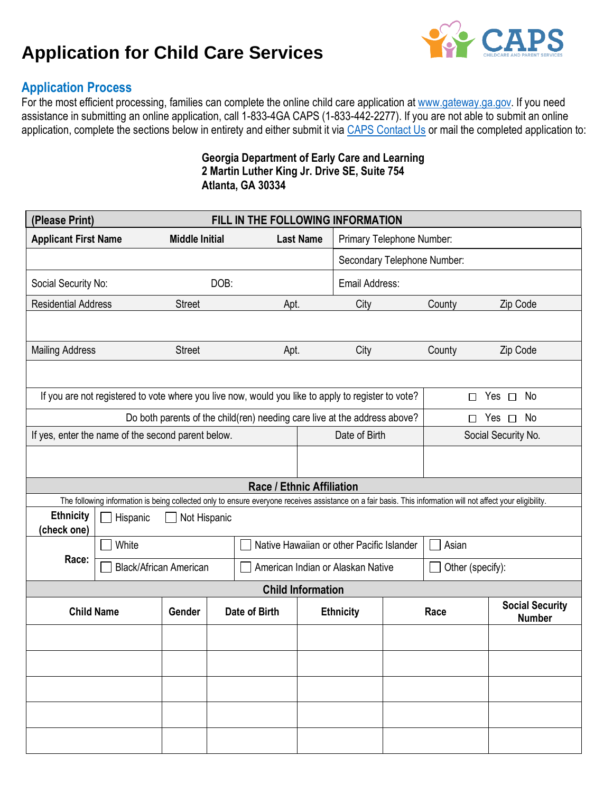# **Application for Child Care Services**



# **Application Process**

For the most efficient processing, families can complete the online child care application a[t www.gateway.ga.gov.](http://www.gateway.ga.gov/) If you need assistance in submitting an online application, call 1-833-4GA CAPS (1-833-442-2277). If you are not able to submit an online application, complete the sections below in entirety and either submit it via CAPS [Contact Us](https://caps.decal.ga.gov/en/ContactSupport/) or mail the completed application to:

## **Georgia Department of Early Care and Learning 2 Martin Luther King Jr. Drive SE, Suite 754 Atlanta, GA 30334**

| (Please Print)<br>FILL IN THE FOLLOWING INFORMATION                                                |                                                                                                                                                              |                       |                                   |                           |                                                                           |                                                    |                  |                     |                                         |  |
|----------------------------------------------------------------------------------------------------|--------------------------------------------------------------------------------------------------------------------------------------------------------------|-----------------------|-----------------------------------|---------------------------|---------------------------------------------------------------------------|----------------------------------------------------|------------------|---------------------|-----------------------------------------|--|
| <b>Applicant First Name</b>                                                                        | <b>Middle Initial</b>                                                                                                                                        |                       |                                   | <b>Last Name</b>          | Primary Telephone Number:                                                 |                                                    |                  |                     |                                         |  |
|                                                                                                    | Secondary Telephone Number:                                                                                                                                  |                       |                                   |                           |                                                                           |                                                    |                  |                     |                                         |  |
| Social Security No:                                                                                | DOB:                                                                                                                                                         |                       |                                   |                           | Email Address:                                                            |                                                    |                  |                     |                                         |  |
| <b>Residential Address</b><br><b>Street</b>                                                        |                                                                                                                                                              |                       |                                   | Apt.                      |                                                                           | City<br>County                                     |                  |                     | Zip Code                                |  |
|                                                                                                    |                                                                                                                                                              |                       |                                   |                           |                                                                           |                                                    |                  |                     |                                         |  |
| <b>Mailing Address</b>                                                                             |                                                                                                                                                              | <b>Street</b><br>Apt. |                                   |                           | City                                                                      |                                                    | County           | Zip Code            |                                         |  |
|                                                                                                    |                                                                                                                                                              |                       |                                   |                           |                                                                           |                                                    |                  |                     |                                         |  |
| If you are not registered to vote where you live now, would you like to apply to register to vote? |                                                                                                                                                              |                       |                                   |                           |                                                                           | П                                                  | Yes $\Box$ No    |                     |                                         |  |
|                                                                                                    |                                                                                                                                                              |                       |                                   |                           | Do both parents of the child(ren) needing care live at the address above? |                                                    |                  | Yes<br>No<br>$\Box$ |                                         |  |
| If yes, enter the name of the second parent below.                                                 |                                                                                                                                                              |                       |                                   | Date of Birth             |                                                                           | Social Security No.                                |                  |                     |                                         |  |
|                                                                                                    |                                                                                                                                                              |                       |                                   |                           |                                                                           |                                                    |                  |                     |                                         |  |
|                                                                                                    |                                                                                                                                                              |                       |                                   | Race / Ethnic Affiliation |                                                                           |                                                    |                  |                     |                                         |  |
|                                                                                                    | The following information is being collected only to ensure everyone receives assistance on a fair basis. This information will not affect your eligibility. |                       |                                   |                           |                                                                           |                                                    |                  |                     |                                         |  |
| (check one)                                                                                        | <b>Ethnicity</b><br>Hispanic<br>Not Hispanic                                                                                                                 |                       |                                   |                           |                                                                           |                                                    |                  |                     |                                         |  |
|                                                                                                    | White                                                                                                                                                        |                       |                                   |                           |                                                                           | Native Hawaiian or other Pacific Islander<br>Asian |                  |                     |                                         |  |
| Race:<br><b>Black/African American</b>                                                             |                                                                                                                                                              |                       | American Indian or Alaskan Native |                           |                                                                           |                                                    | Other (specify): |                     |                                         |  |
| <b>Child Information</b>                                                                           |                                                                                                                                                              |                       |                                   |                           |                                                                           |                                                    |                  |                     |                                         |  |
| <b>Child Name</b>                                                                                  |                                                                                                                                                              | Gender                | Date of Birth                     |                           |                                                                           | <b>Ethnicity</b>                                   | Race             |                     | <b>Social Security</b><br><b>Number</b> |  |
|                                                                                                    |                                                                                                                                                              |                       |                                   |                           |                                                                           |                                                    |                  |                     |                                         |  |
|                                                                                                    |                                                                                                                                                              |                       |                                   |                           |                                                                           |                                                    |                  |                     |                                         |  |
|                                                                                                    |                                                                                                                                                              |                       |                                   |                           |                                                                           |                                                    |                  |                     |                                         |  |
|                                                                                                    |                                                                                                                                                              |                       |                                   |                           |                                                                           |                                                    |                  |                     |                                         |  |
|                                                                                                    |                                                                                                                                                              |                       |                                   |                           |                                                                           |                                                    |                  |                     |                                         |  |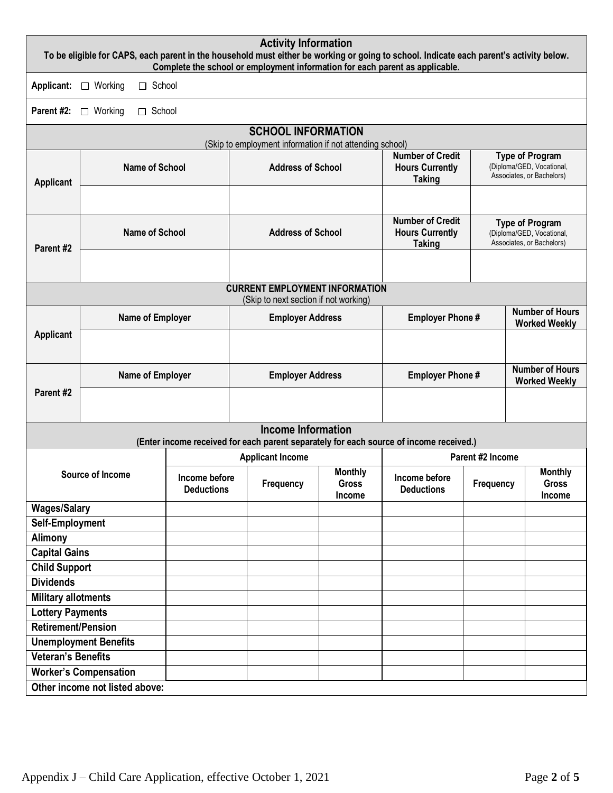| <b>Activity Information</b><br>To be eligible for CAPS, each parent in the household must either be working or going to school. Indicate each parent's activity below.<br>Complete the school or employment information for each parent as applicable. |                                                          |                                    |                          |                                       |                                          |                                                                    |                                                                                        |  |                                                                                  |                                                                                  |
|--------------------------------------------------------------------------------------------------------------------------------------------------------------------------------------------------------------------------------------------------------|----------------------------------------------------------|------------------------------------|--------------------------|---------------------------------------|------------------------------------------|--------------------------------------------------------------------|----------------------------------------------------------------------------------------|--|----------------------------------------------------------------------------------|----------------------------------------------------------------------------------|
| Applicant:                                                                                                                                                                                                                                             | $\Box$ Working                                           | $\Box$ School                      |                          |                                       |                                          |                                                                    |                                                                                        |  |                                                                                  |                                                                                  |
| Parent #2:                                                                                                                                                                                                                                             | Working<br>$\Box$ School<br>$\Box$                       |                                    |                          |                                       |                                          |                                                                    |                                                                                        |  |                                                                                  |                                                                                  |
| <b>SCHOOL INFORMATION</b>                                                                                                                                                                                                                              |                                                          |                                    |                          |                                       |                                          |                                                                    |                                                                                        |  |                                                                                  |                                                                                  |
|                                                                                                                                                                                                                                                        | (Skip to employment information if not attending school) |                                    |                          |                                       |                                          |                                                                    |                                                                                        |  |                                                                                  |                                                                                  |
| <b>Applicant</b>                                                                                                                                                                                                                                       | <b>Name of School</b>                                    |                                    |                          | <b>Address of School</b>              |                                          |                                                                    | <b>Number of Credit</b><br><b>Hours Currently</b><br><b>Taking</b>                     |  |                                                                                  | <b>Type of Program</b><br>(Diploma/GED, Vocational,<br>Associates, or Bachelors) |
|                                                                                                                                                                                                                                                        |                                                          |                                    |                          |                                       |                                          |                                                                    |                                                                                        |  |                                                                                  |                                                                                  |
| Parent #2                                                                                                                                                                                                                                              | <b>Name of School</b>                                    |                                    | <b>Address of School</b> |                                       |                                          | <b>Number of Credit</b><br><b>Hours Currently</b><br><b>Taking</b> |                                                                                        |  | <b>Type of Program</b><br>(Diploma/GED, Vocational,<br>Associates, or Bachelors) |                                                                                  |
|                                                                                                                                                                                                                                                        |                                                          |                                    |                          |                                       |                                          |                                                                    |                                                                                        |  |                                                                                  |                                                                                  |
|                                                                                                                                                                                                                                                        |                                                          |                                    |                          |                                       | <b>CURRENT EMPLOYMENT INFORMATION</b>    |                                                                    |                                                                                        |  |                                                                                  |                                                                                  |
|                                                                                                                                                                                                                                                        |                                                          |                                    |                          | (Skip to next section if not working) |                                          |                                                                    |                                                                                        |  | <b>Number of Hours</b>                                                           |                                                                                  |
|                                                                                                                                                                                                                                                        |                                                          |                                    | Name of Employer         |                                       | <b>Employer Address</b>                  |                                                                    | <b>Employer Phone#</b>                                                                 |  |                                                                                  | <b>Worked Weekly</b>                                                             |
|                                                                                                                                                                                                                                                        | <b>Applicant</b>                                         |                                    |                          |                                       |                                          |                                                                    |                                                                                        |  |                                                                                  |                                                                                  |
|                                                                                                                                                                                                                                                        | Name of Employer                                         |                                    |                          | <b>Employer Address</b>               |                                          |                                                                    | <b>Employer Phone#</b>                                                                 |  |                                                                                  | <b>Number of Hours</b><br><b>Worked Weekly</b>                                   |
| Parent #2                                                                                                                                                                                                                                              |                                                          |                                    |                          |                                       |                                          |                                                                    |                                                                                        |  |                                                                                  |                                                                                  |
|                                                                                                                                                                                                                                                        |                                                          |                                    |                          |                                       | <b>Income Information</b>                |                                                                    | (Enter income received for each parent separately for each source of income received.) |  |                                                                                  |                                                                                  |
|                                                                                                                                                                                                                                                        |                                                          | <b>Applicant Income</b>            |                          |                                       | Parent #2 Income                         |                                                                    |                                                                                        |  |                                                                                  |                                                                                  |
| Source of Income                                                                                                                                                                                                                                       |                                                          | Income before<br><b>Deductions</b> |                          | Frequency                             | <b>Monthly</b><br><b>Gross</b><br>Income | Income before<br><b>Deductions</b>                                 | Frequency                                                                              |  | <b>Monthly</b><br><b>Gross</b><br>Income                                         |                                                                                  |
| <b>Wages/Salary</b>                                                                                                                                                                                                                                    |                                                          |                                    |                          |                                       |                                          |                                                                    |                                                                                        |  |                                                                                  |                                                                                  |
| Self-Employment                                                                                                                                                                                                                                        |                                                          |                                    |                          |                                       |                                          |                                                                    |                                                                                        |  |                                                                                  |                                                                                  |
| Alimony                                                                                                                                                                                                                                                |                                                          |                                    |                          |                                       |                                          |                                                                    |                                                                                        |  |                                                                                  |                                                                                  |
| <b>Capital Gains</b>                                                                                                                                                                                                                                   |                                                          |                                    |                          |                                       |                                          |                                                                    |                                                                                        |  |                                                                                  |                                                                                  |
| <b>Child Support</b><br><b>Dividends</b>                                                                                                                                                                                                               |                                                          |                                    |                          |                                       |                                          |                                                                    |                                                                                        |  |                                                                                  |                                                                                  |
| <b>Military allotments</b>                                                                                                                                                                                                                             |                                                          |                                    |                          |                                       |                                          |                                                                    |                                                                                        |  |                                                                                  |                                                                                  |
| <b>Lottery Payments</b>                                                                                                                                                                                                                                |                                                          |                                    |                          |                                       |                                          |                                                                    |                                                                                        |  |                                                                                  |                                                                                  |
| <b>Retirement/Pension</b>                                                                                                                                                                                                                              |                                                          |                                    |                          |                                       |                                          |                                                                    |                                                                                        |  |                                                                                  |                                                                                  |
|                                                                                                                                                                                                                                                        | <b>Unemployment Benefits</b>                             |                                    |                          |                                       |                                          |                                                                    |                                                                                        |  |                                                                                  |                                                                                  |
| <b>Veteran's Benefits</b>                                                                                                                                                                                                                              |                                                          |                                    |                          |                                       |                                          |                                                                    |                                                                                        |  |                                                                                  |                                                                                  |
| <b>Worker's Compensation</b>                                                                                                                                                                                                                           |                                                          |                                    |                          |                                       |                                          |                                                                    |                                                                                        |  |                                                                                  |                                                                                  |
| Other income not listed above:                                                                                                                                                                                                                         |                                                          |                                    |                          |                                       |                                          |                                                                    |                                                                                        |  |                                                                                  |                                                                                  |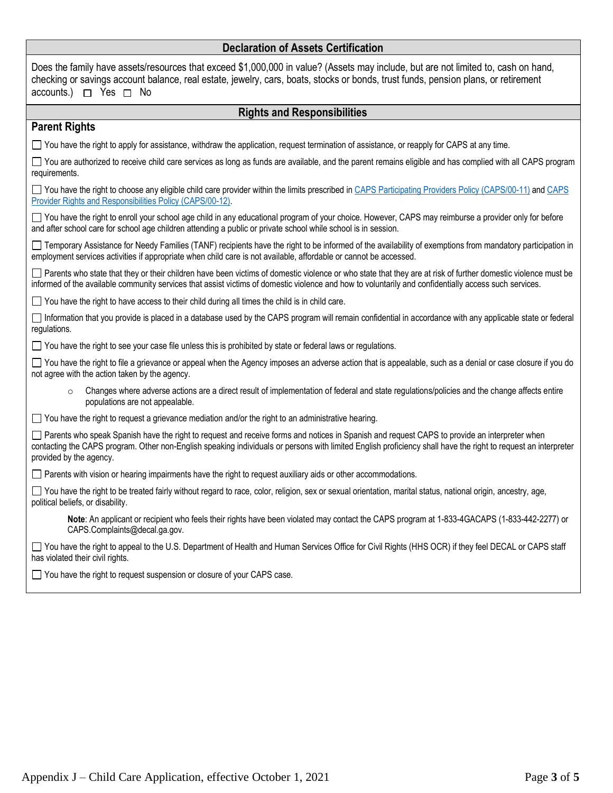## **Declaration of Assets Certification**

| Declaration of Assets Certification                                                                                                                                                                                                                                                                                                       |  |  |  |  |  |  |
|-------------------------------------------------------------------------------------------------------------------------------------------------------------------------------------------------------------------------------------------------------------------------------------------------------------------------------------------|--|--|--|--|--|--|
| Does the family have assets/resources that exceed \$1,000,000 in value? (Assets may include, but are not limited to, cash on hand,<br>checking or savings account balance, real estate, jewelry, cars, boats, stocks or bonds, trust funds, pension plans, or retirement<br>accounts.) $\Box$ Yes $\Box$ No                               |  |  |  |  |  |  |
| <b>Rights and Responsibilities</b>                                                                                                                                                                                                                                                                                                        |  |  |  |  |  |  |
| <b>Parent Rights</b>                                                                                                                                                                                                                                                                                                                      |  |  |  |  |  |  |
| □ You have the right to apply for assistance, withdraw the application, request termination of assistance, or reapply for CAPS at any time.                                                                                                                                                                                               |  |  |  |  |  |  |
| □ You are authorized to receive child care services as long as funds are available, and the parent remains eligible and has complied with all CAPS program<br>requirements.                                                                                                                                                               |  |  |  |  |  |  |
| □ You have the right to choose any eligible child care provider within the limits prescribed in CAPS Participating Providers Policy (CAPS/00-11) and CAPS<br>Provider Rights and Responsibilities Policy (CAPS/00-12).                                                                                                                    |  |  |  |  |  |  |
| You have the right to enroll your school age child in any educational program of your choice. However, CAPS may reimburse a provider only for before<br>and after school care for school age children attending a public or private school while school is in session.                                                                    |  |  |  |  |  |  |
| □ Temporary Assistance for Needy Families (TANF) recipients have the right to be informed of the availability of exemptions from mandatory participation in<br>employment services activities if appropriate when child care is not available, affordable or cannot be accessed.                                                          |  |  |  |  |  |  |
| Parents who state that they or their children have been victims of domestic violence or who state that they are at risk of further domestic violence must be<br>informed of the available community services that assist victims of domestic violence and how to voluntarily and confidentially access such services.                     |  |  |  |  |  |  |
| $\Box$ You have the right to have access to their child during all times the child is in child care.                                                                                                                                                                                                                                      |  |  |  |  |  |  |
| Information that you provide is placed in a database used by the CAPS program will remain confidential in accordance with any applicable state or federal<br>regulations.                                                                                                                                                                 |  |  |  |  |  |  |
| □ You have the right to see your case file unless this is prohibited by state or federal laws or regulations.                                                                                                                                                                                                                             |  |  |  |  |  |  |
| You have the right to file a grievance or appeal when the Agency imposes an adverse action that is appealable, such as a denial or case closure if you do<br>not agree with the action taken by the agency.                                                                                                                               |  |  |  |  |  |  |
| Changes where adverse actions are a direct result of implementation of federal and state regulations/policies and the change affects entire<br>$\circ$<br>populations are not appealable.                                                                                                                                                 |  |  |  |  |  |  |
| $\Box$ You have the right to request a grievance mediation and/or the right to an administrative hearing.                                                                                                                                                                                                                                 |  |  |  |  |  |  |
| Parents who speak Spanish have the right to request and receive forms and notices in Spanish and request CAPS to provide an interpreter when<br>contacting the CAPS program. Other non-English speaking individuals or persons with limited English proficiency shall have the right to request an interpreter<br>provided by the agency. |  |  |  |  |  |  |
| □ Parents with vision or hearing impairments have the right to request auxiliary aids or other accommodations.                                                                                                                                                                                                                            |  |  |  |  |  |  |
| □ You have the right to be treated fairly without regard to race, color, religion, sex or sexual orientation, marital status, national origin, ancestry, age,<br>political beliefs, or disability.                                                                                                                                        |  |  |  |  |  |  |
| Note: An applicant or recipient who feels their rights have been violated may contact the CAPS program at 1-833-4GACAPS (1-833-442-2277) or<br>CAPS.Complaints@decal.ga.gov.                                                                                                                                                              |  |  |  |  |  |  |
| □ You have the right to appeal to the U.S. Department of Health and Human Services Office for Civil Rights (HHS OCR) if they feel DECAL or CAPS staff<br>has violated their civil rights.                                                                                                                                                 |  |  |  |  |  |  |
| $\Box$ You have the right to request suspension or closure of your CAPS case.                                                                                                                                                                                                                                                             |  |  |  |  |  |  |
|                                                                                                                                                                                                                                                                                                                                           |  |  |  |  |  |  |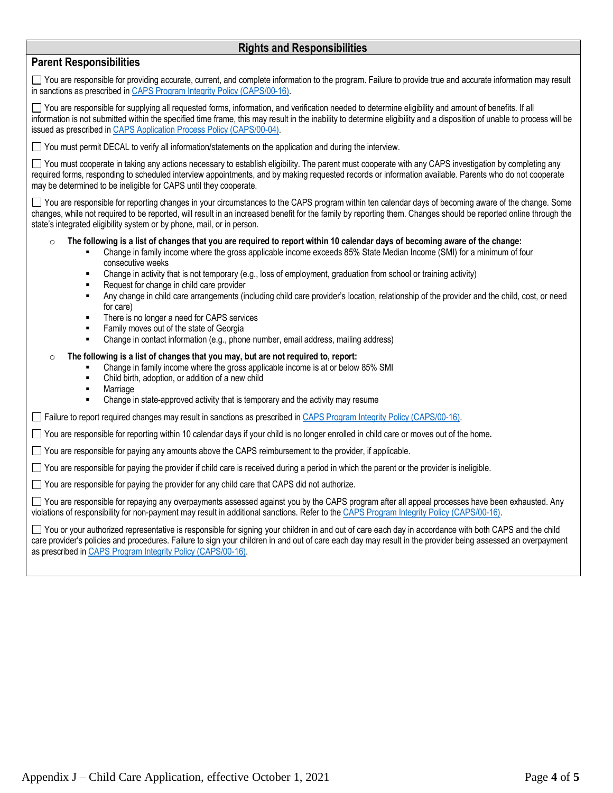### **Rights and Responsibilities**

## **Parent Responsibilities**

You are responsible for providing accurate, current, and complete information to the program. Failure to provide true and accurate information may result in sanctions as prescribed in [CAPS Program Integrity Policy \(CAPS/00-16\).](https://caps.decal.ga.gov/assets/downloads/CAPS/16-CAPS_Policy-Program%20Integrity.pdf)

You are responsible for supplying all requested forms, information, and verification needed to determine eligibility and amount of benefits. If all information is not submitted within the specified time frame, this may result in the inability to determine eligibility and a disposition of unable to process will be issued as prescribed in [CAPS Application Process Policy \(CAPS/00-04\).](https://caps.decal.ga.gov/assets/downloads/CAPS/04-CAPS_Policy-Application%20Process.pdf)

 $\Box$  You must permit DECAL to verify all information/statements on the application and during the interview.

 $\Box$  You must cooperate in taking any actions necessary to establish eligibility. The parent must cooperate with any CAPS investigation by completing any required forms, responding to scheduled interview appointments, and by making requested records or information available. Parents who do not cooperate may be determined to be ineligible for CAPS until they cooperate.

You are responsible for reporting changes in your circumstances to the CAPS program within ten calendar days of becoming aware of the change. Some changes, while not required to be reported, will result in an increased benefit for the family by reporting them. Changes should be reported online through the state's integrated eligibility system or by phone, mail, or in person.

#### o **The following is a list of changes that you are required to report within 10 calendar days of becoming aware of the change:**

- Change in family income where the gross applicable income exceeds 85% State Median Income (SMI) for a minimum of four consecutive weeks
- Change in activity that is not temporary (e.g., loss of employment, graduation from school or training activity)
- Request for change in child care provider
- Any change in child care arrangements (including child care provider's location, relationship of the provider and the child, cost, or need for care)
- There is no longer a need for CAPS services
- Family moves out of the state of Georgia
- Change in contact information (e.g., phone number, email address, mailing address)

#### o **The following is a list of changes that you may, but are not required to, report:**

- Change in family income where the gross applicable income is at or below 85% SMI
- Child birth, adoption, or addition of a new child
- Marriage
- Change in state-approved activity that is temporary and the activity may resume

Failure to report required changes may result in sanctions as prescribed i[n CAPS Program Integrity Policy \(CAPS/00-16\).](https://caps.decal.ga.gov/assets/downloads/CAPS/16-CAPS_Policy-Program%20Integrity.pdf)

You are responsible for reporting within 10 calendar days if your child is no longer enrolled in child care or moves out of the home**.** 

 $\Box$  You are responsible for paying any amounts above the CAPS reimbursement to the provider, if applicable.

 $\Box$  You are responsible for paying the provider if child care is received during a period in which the parent or the provider is ineligible.

□ You are responsible for paying the provider for any child care that CAPS did not authorize.

You are responsible for repaying any overpayments assessed against you by the CAPS program after all appeal processes have been exhausted. Any violations of responsibility for non-payment may result in additional sanctions. Refer to the [CAPS Program Integrity Policy \(CAPS/00-16\).](https://caps.decal.ga.gov/assets/downloads/CAPS/16-CAPS_Policy-Program%20Integrity.pdf)

You or your authorized representative is responsible for signing your children in and out of care each day in accordance with both CAPS and the child care provider's policies and procedures. Failure to sign your children in and out of care each day may result in the provider being assessed an overpayment as prescribed i[n CAPS Program Integrity Policy \(CAPS/00-16\).](https://caps.decal.ga.gov/assets/downloads/CAPS/16-CAPS_Policy-Program%20Integrity.pdf)